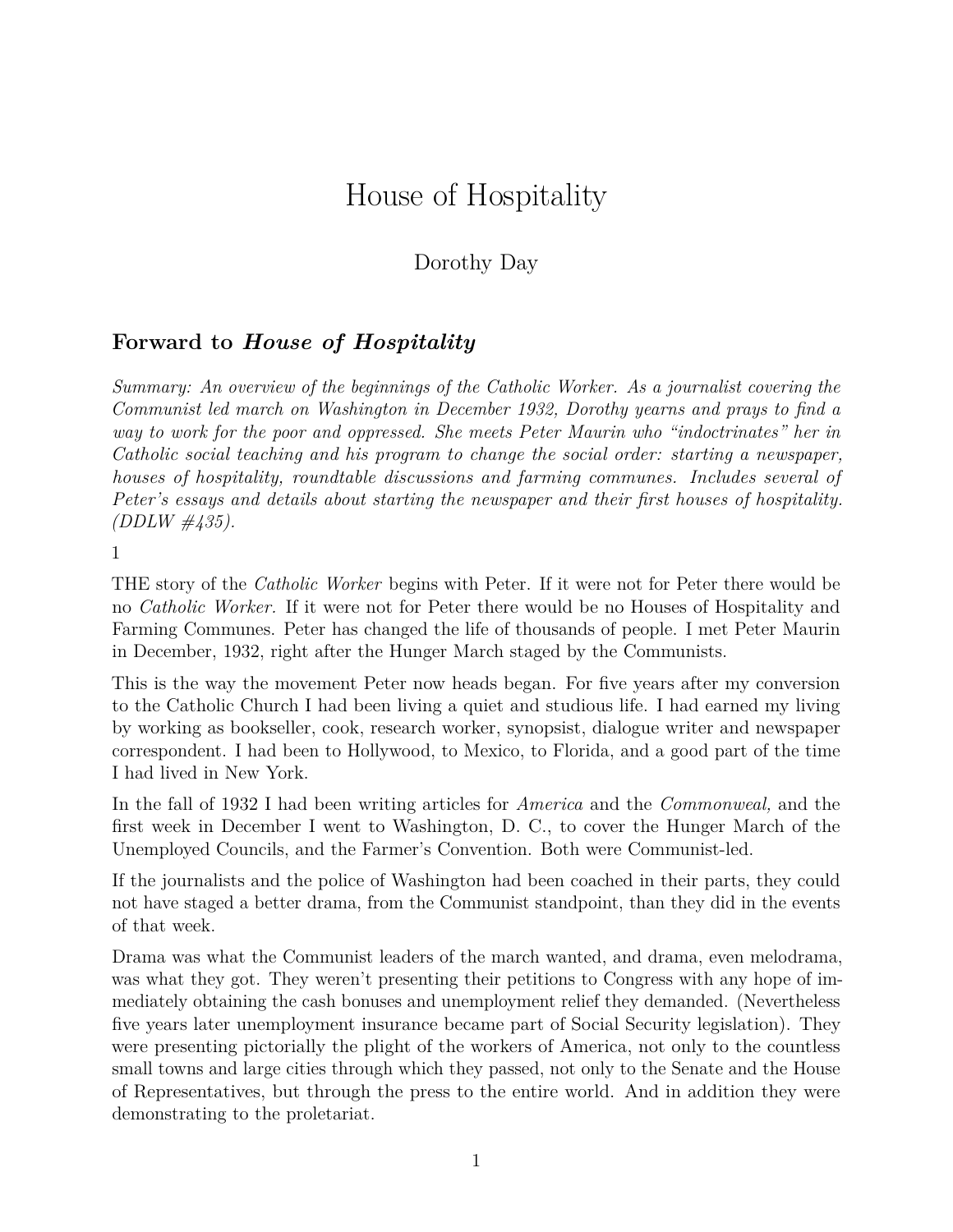# House of Hospitality

## Dorothy Day

## **Forward to** *House of Hospitality*

*Summary: An overview of the beginnings of the Catholic Worker. As a journalist covering the Communist led march on Washington in December 1932, Dorothy yearns and prays to find a way to work for the poor and oppressed. She meets Peter Maurin who "indoctrinates" her in Catholic social teaching and his program to change the social order: starting a newspaper, houses of hospitality, roundtable discussions and farming communes. Includes several of Peter's essays and details about starting the newspaper and their first houses of hospitality. (DDLW #435).*

1

THE story of the *Catholic Worker* begins with Peter. If it were not for Peter there would be no *Catholic Worker.* If it were not for Peter there would be no Houses of Hospitality and Farming Communes. Peter has changed the life of thousands of people. I met Peter Maurin in December, 1932, right after the Hunger March staged by the Communists.

This is the way the movement Peter now heads began. For five years after my conversion to the Catholic Church I had been living a quiet and studious life. I had earned my living by working as bookseller, cook, research worker, synopsist, dialogue writer and newspaper correspondent. I had been to Hollywood, to Mexico, to Florida, and a good part of the time I had lived in New York.

In the fall of 1932 I had been writing articles for *America* and the *Commonweal,* and the first week in December I went to Washington, D. C., to cover the Hunger March of the Unemployed Councils, and the Farmer's Convention. Both were Communist-led.

If the journalists and the police of Washington had been coached in their parts, they could not have staged a better drama, from the Communist standpoint, than they did in the events of that week.

Drama was what the Communist leaders of the march wanted, and drama, even melodrama, was what they got. They weren't presenting their petitions to Congress with any hope of immediately obtaining the cash bonuses and unemployment relief they demanded. (Nevertheless five years later unemployment insurance became part of Social Security legislation). They were presenting pictorially the plight of the workers of America, not only to the countless small towns and large cities through which they passed, not only to the Senate and the House of Representatives, but through the press to the entire world. And in addition they were demonstrating to the proletariat.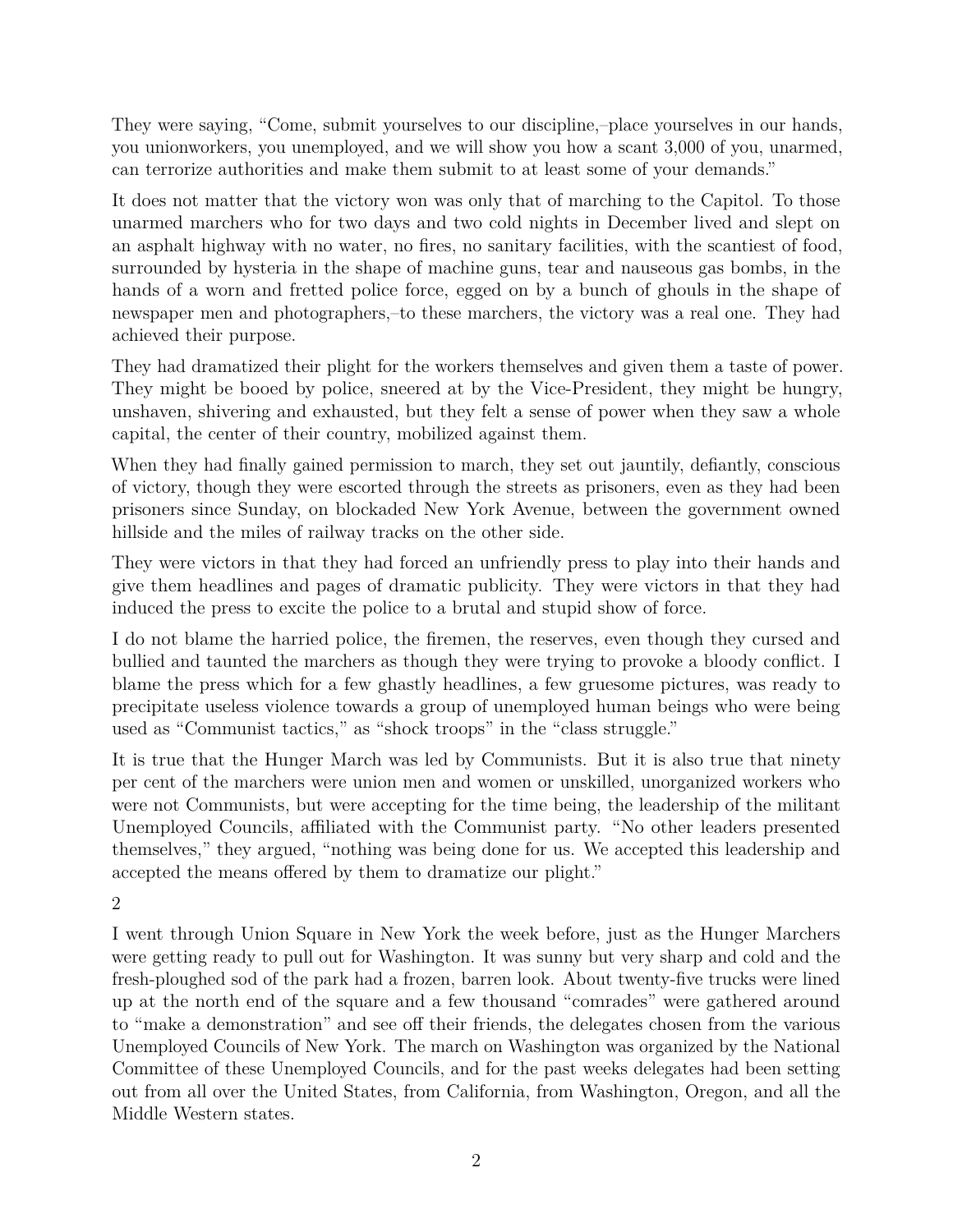They were saying, "Come, submit yourselves to our discipline,–place yourselves in our hands, you unionworkers, you unemployed, and we will show you how a scant 3,000 of you, unarmed, can terrorize authorities and make them submit to at least some of your demands."

It does not matter that the victory won was only that of marching to the Capitol. To those unarmed marchers who for two days and two cold nights in December lived and slept on an asphalt highway with no water, no fires, no sanitary facilities, with the scantiest of food, surrounded by hysteria in the shape of machine guns, tear and nauseous gas bombs, in the hands of a worn and fretted police force, egged on by a bunch of ghouls in the shape of newspaper men and photographers,–to these marchers, the victory was a real one. They had achieved their purpose.

They had dramatized their plight for the workers themselves and given them a taste of power. They might be booed by police, sneered at by the Vice-President, they might be hungry, unshaven, shivering and exhausted, but they felt a sense of power when they saw a whole capital, the center of their country, mobilized against them.

When they had finally gained permission to march, they set out jauntily, defiantly, conscious of victory, though they were escorted through the streets as prisoners, even as they had been prisoners since Sunday, on blockaded New York Avenue, between the government owned hillside and the miles of railway tracks on the other side.

They were victors in that they had forced an unfriendly press to play into their hands and give them headlines and pages of dramatic publicity. They were victors in that they had induced the press to excite the police to a brutal and stupid show of force.

I do not blame the harried police, the firemen, the reserves, even though they cursed and bullied and taunted the marchers as though they were trying to provoke a bloody conflict. I blame the press which for a few ghastly headlines, a few gruesome pictures, was ready to precipitate useless violence towards a group of unemployed human beings who were being used as "Communist tactics," as "shock troops" in the "class struggle."

It is true that the Hunger March was led by Communists. But it is also true that ninety per cent of the marchers were union men and women or unskilled, unorganized workers who were not Communists, but were accepting for the time being, the leadership of the militant Unemployed Councils, affiliated with the Communist party. "No other leaders presented themselves," they argued, "nothing was being done for us. We accepted this leadership and accepted the means offered by them to dramatize our plight."

2

I went through Union Square in New York the week before, just as the Hunger Marchers were getting ready to pull out for Washington. It was sunny but very sharp and cold and the fresh-ploughed sod of the park had a frozen, barren look. About twenty-five trucks were lined up at the north end of the square and a few thousand "comrades" were gathered around to "make a demonstration" and see off their friends, the delegates chosen from the various Unemployed Councils of New York. The march on Washington was organized by the National Committee of these Unemployed Councils, and for the past weeks delegates had been setting out from all over the United States, from California, from Washington, Oregon, and all the Middle Western states.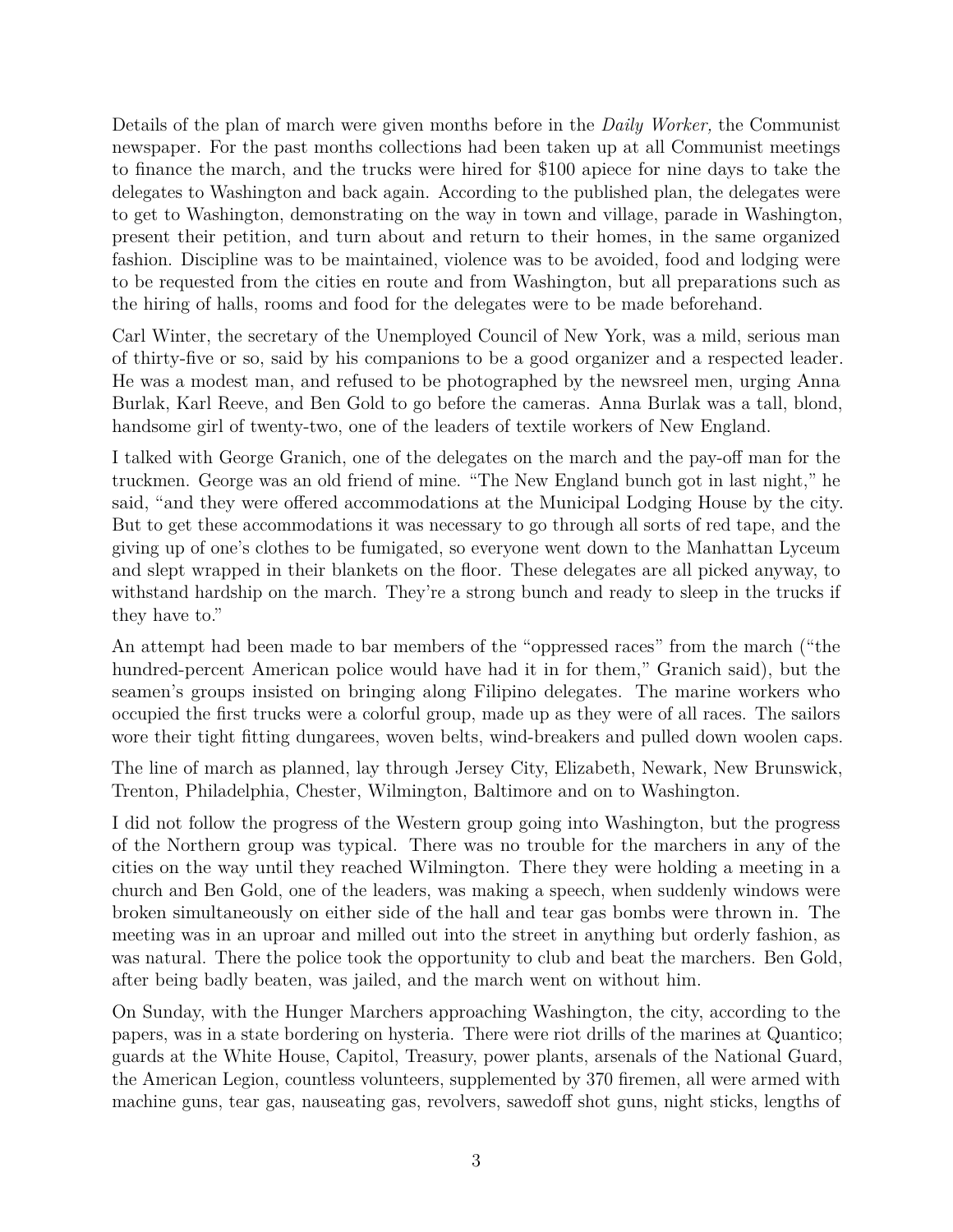Details of the plan of march were given months before in the *Daily Worker,* the Communist newspaper. For the past months collections had been taken up at all Communist meetings to finance the march, and the trucks were hired for \$100 apiece for nine days to take the delegates to Washington and back again. According to the published plan, the delegates were to get to Washington, demonstrating on the way in town and village, parade in Washington, present their petition, and turn about and return to their homes, in the same organized fashion. Discipline was to be maintained, violence was to be avoided, food and lodging were to be requested from the cities en route and from Washington, but all preparations such as the hiring of halls, rooms and food for the delegates were to be made beforehand.

Carl Winter, the secretary of the Unemployed Council of New York, was a mild, serious man of thirty-five or so, said by his companions to be a good organizer and a respected leader. He was a modest man, and refused to be photographed by the newsreel men, urging Anna Burlak, Karl Reeve, and Ben Gold to go before the cameras. Anna Burlak was a tall, blond, handsome girl of twenty-two, one of the leaders of textile workers of New England.

I talked with George Granich, one of the delegates on the march and the pay-off man for the truckmen. George was an old friend of mine. "The New England bunch got in last night," he said, "and they were offered accommodations at the Municipal Lodging House by the city. But to get these accommodations it was necessary to go through all sorts of red tape, and the giving up of one's clothes to be fumigated, so everyone went down to the Manhattan Lyceum and slept wrapped in their blankets on the floor. These delegates are all picked anyway, to with stand hardship on the march. They're a strong bunch and ready to sleep in the trucks if they have to."

An attempt had been made to bar members of the "oppressed races" from the march ("the hundred-percent American police would have had it in for them," Granich said), but the seamen's groups insisted on bringing along Filipino delegates. The marine workers who occupied the first trucks were a colorful group, made up as they were of all races. The sailors wore their tight fitting dungarees, woven belts, wind-breakers and pulled down woolen caps.

The line of march as planned, lay through Jersey City, Elizabeth, Newark, New Brunswick, Trenton, Philadelphia, Chester, Wilmington, Baltimore and on to Washington.

I did not follow the progress of the Western group going into Washington, but the progress of the Northern group was typical. There was no trouble for the marchers in any of the cities on the way until they reached Wilmington. There they were holding a meeting in a church and Ben Gold, one of the leaders, was making a speech, when suddenly windows were broken simultaneously on either side of the hall and tear gas bombs were thrown in. The meeting was in an uproar and milled out into the street in anything but orderly fashion, as was natural. There the police took the opportunity to club and beat the marchers. Ben Gold, after being badly beaten, was jailed, and the march went on without him.

On Sunday, with the Hunger Marchers approaching Washington, the city, according to the papers, was in a state bordering on hysteria. There were riot drills of the marines at Quantico; guards at the White House, Capitol, Treasury, power plants, arsenals of the National Guard, the American Legion, countless volunteers, supplemented by 370 firemen, all were armed with machine guns, tear gas, nauseating gas, revolvers, sawedoff shot guns, night sticks, lengths of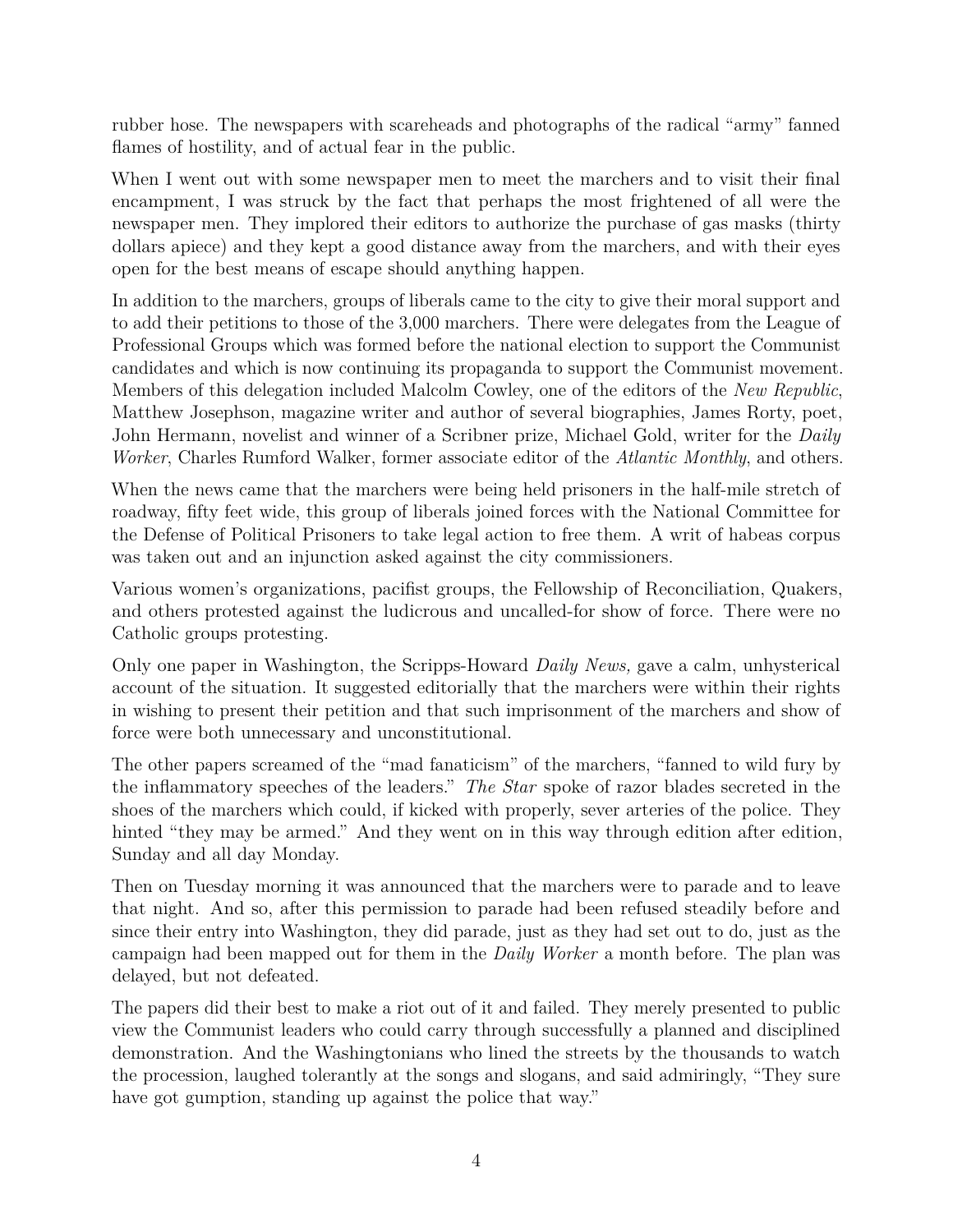rubber hose. The newspapers with scareheads and photographs of the radical "army" fanned flames of hostility, and of actual fear in the public.

When I went out with some newspaper men to meet the marchers and to visit their final encampment, I was struck by the fact that perhaps the most frightened of all were the newspaper men. They implored their editors to authorize the purchase of gas masks (thirty dollars apiece) and they kept a good distance away from the marchers, and with their eyes open for the best means of escape should anything happen.

In addition to the marchers, groups of liberals came to the city to give their moral support and to add their petitions to those of the 3,000 marchers. There were delegates from the League of Professional Groups which was formed before the national election to support the Communist candidates and which is now continuing its propaganda to support the Communist movement. Members of this delegation included Malcolm Cowley, one of the editors of the *New Republic*, Matthew Josephson, magazine writer and author of several biographies, James Rorty, poet, John Hermann, novelist and winner of a Scribner prize, Michael Gold, writer for the *Daily Worker*, Charles Rumford Walker, former associate editor of the *Atlantic Monthly*, and others.

When the news came that the marchers were being held prisoners in the half-mile stretch of roadway, fifty feet wide, this group of liberals joined forces with the National Committee for the Defense of Political Prisoners to take legal action to free them. A writ of habeas corpus was taken out and an injunction asked against the city commissioners.

Various women's organizations, pacifist groups, the Fellowship of Reconciliation, Quakers, and others protested against the ludicrous and uncalled-for show of force. There were no Catholic groups protesting.

Only one paper in Washington, the Scripps-Howard *Daily News,* gave a calm, unhysterical account of the situation. It suggested editorially that the marchers were within their rights in wishing to present their petition and that such imprisonment of the marchers and show of force were both unnecessary and unconstitutional.

The other papers screamed of the "mad fanaticism" of the marchers, "fanned to wild fury by the inflammatory speeches of the leaders." *The Star* spoke of razor blades secreted in the shoes of the marchers which could, if kicked with properly, sever arteries of the police. They hinted "they may be armed." And they went on in this way through edition after edition, Sunday and all day Monday.

Then on Tuesday morning it was announced that the marchers were to parade and to leave that night. And so, after this permission to parade had been refused steadily before and since their entry into Washington, they did parade, just as they had set out to do, just as the campaign had been mapped out for them in the *Daily Worker* a month before. The plan was delayed, but not defeated.

The papers did their best to make a riot out of it and failed. They merely presented to public view the Communist leaders who could carry through successfully a planned and disciplined demonstration. And the Washingtonians who lined the streets by the thousands to watch the procession, laughed tolerantly at the songs and slogans, and said admiringly, "They sure have got gumption, standing up against the police that way."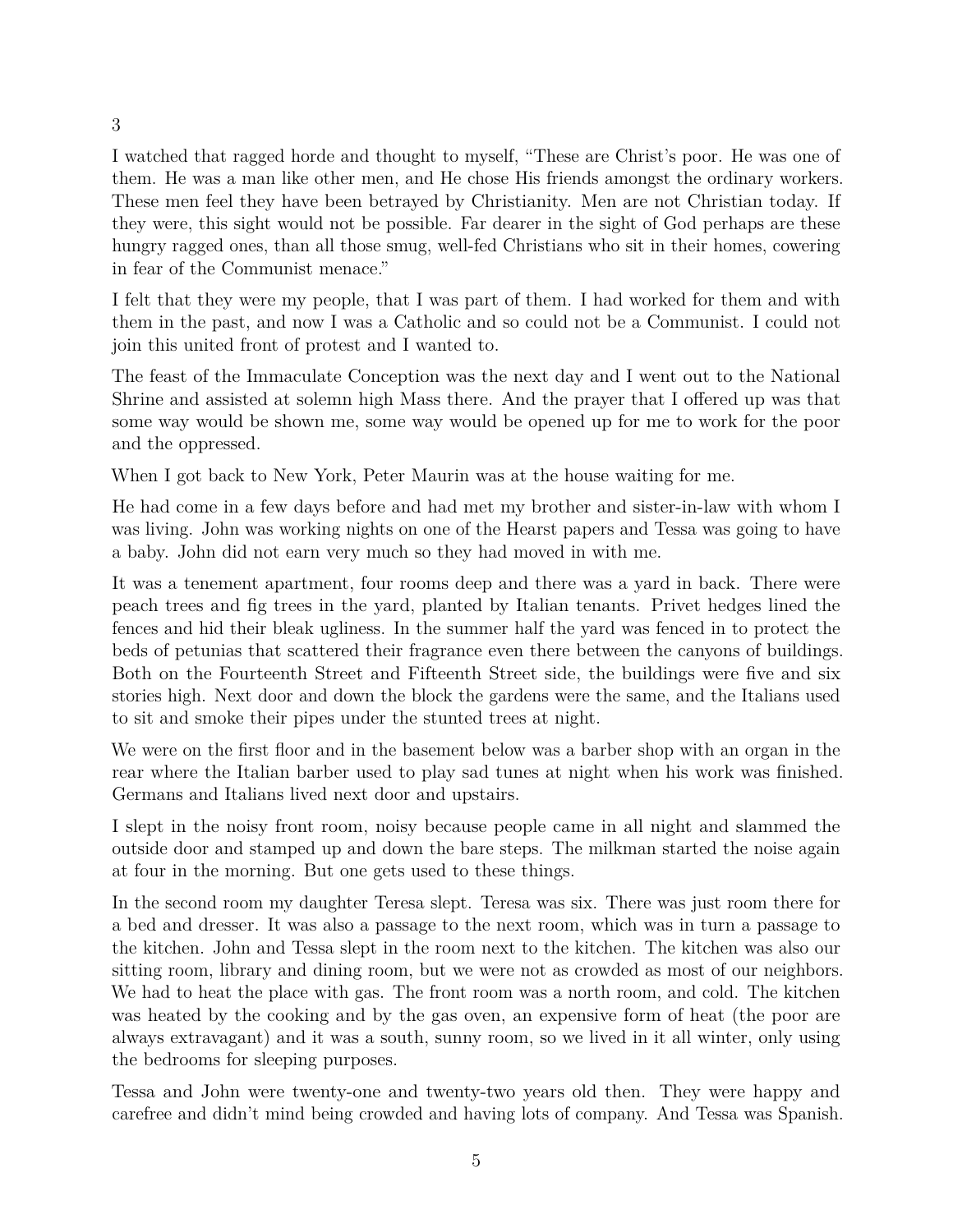I watched that ragged horde and thought to myself, "These are Christ's poor. He was one of them. He was a man like other men, and He chose His friends amongst the ordinary workers. These men feel they have been betrayed by Christianity. Men are not Christian today. If they were, this sight would not be possible. Far dearer in the sight of God perhaps are these hungry ragged ones, than all those smug, well-fed Christians who sit in their homes, cowering in fear of the Communist menace."

I felt that they were my people, that I was part of them. I had worked for them and with them in the past, and now I was a Catholic and so could not be a Communist. I could not join this united front of protest and I wanted to.

The feast of the Immaculate Conception was the next day and I went out to the National Shrine and assisted at solemn high Mass there. And the prayer that I offered up was that some way would be shown me, some way would be opened up for me to work for the poor and the oppressed.

When I got back to New York, Peter Maurin was at the house waiting for me.

He had come in a few days before and had met my brother and sister-in-law with whom I was living. John was working nights on one of the Hearst papers and Tessa was going to have a baby. John did not earn very much so they had moved in with me.

It was a tenement apartment, four rooms deep and there was a yard in back. There were peach trees and fig trees in the yard, planted by Italian tenants. Privet hedges lined the fences and hid their bleak ugliness. In the summer half the yard was fenced in to protect the beds of petunias that scattered their fragrance even there between the canyons of buildings. Both on the Fourteenth Street and Fifteenth Street side, the buildings were five and six stories high. Next door and down the block the gardens were the same, and the Italians used to sit and smoke their pipes under the stunted trees at night.

We were on the first floor and in the basement below was a barber shop with an organ in the rear where the Italian barber used to play sad tunes at night when his work was finished. Germans and Italians lived next door and upstairs.

I slept in the noisy front room, noisy because people came in all night and slammed the outside door and stamped up and down the bare steps. The milkman started the noise again at four in the morning. But one gets used to these things.

In the second room my daughter Teresa slept. Teresa was six. There was just room there for a bed and dresser. It was also a passage to the next room, which was in turn a passage to the kitchen. John and Tessa slept in the room next to the kitchen. The kitchen was also our sitting room, library and dining room, but we were not as crowded as most of our neighbors. We had to heat the place with gas. The front room was a north room, and cold. The kitchen was heated by the cooking and by the gas oven, an expensive form of heat (the poor are always extravagant) and it was a south, sunny room, so we lived in it all winter, only using the bedrooms for sleeping purposes.

Tessa and John were twenty-one and twenty-two years old then. They were happy and carefree and didn't mind being crowded and having lots of company. And Tessa was Spanish.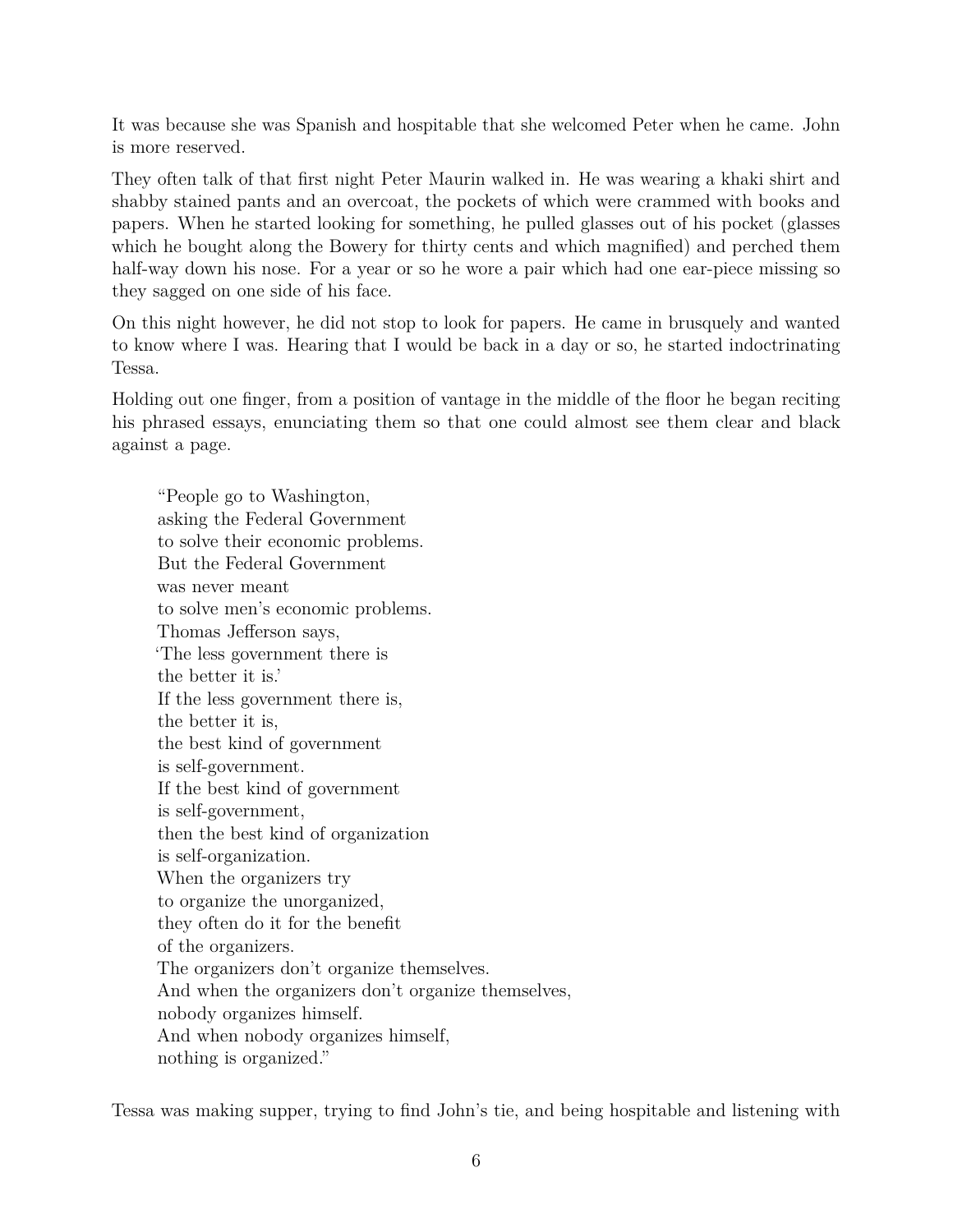It was because she was Spanish and hospitable that she welcomed Peter when he came. John is more reserved.

They often talk of that first night Peter Maurin walked in. He was wearing a khaki shirt and shabby stained pants and an overcoat, the pockets of which were crammed with books and papers. When he started looking for something, he pulled glasses out of his pocket (glasses which he bought along the Bowery for thirty cents and which magnified) and perched them half-way down his nose. For a year or so he wore a pair which had one ear-piece missing so they sagged on one side of his face.

On this night however, he did not stop to look for papers. He came in brusquely and wanted to know where I was. Hearing that I would be back in a day or so, he started indoctrinating Tessa.

Holding out one finger, from a position of vantage in the middle of the floor he began reciting his phrased essays, enunciating them so that one could almost see them clear and black against a page.

"People go to Washington, asking the Federal Government to solve their economic problems. But the Federal Government was never meant to solve men's economic problems. Thomas Jefferson says, 'The less government there is the better it is.' If the less government there is, the better it is, the best kind of government is self-government. If the best kind of government is self-government, then the best kind of organization is self-organization. When the organizers try to organize the unorganized, they often do it for the benefit of the organizers. The organizers don't organize themselves. And when the organizers don't organize themselves, nobody organizes himself. And when nobody organizes himself, nothing is organized."

Tessa was making supper, trying to find John's tie, and being hospitable and listening with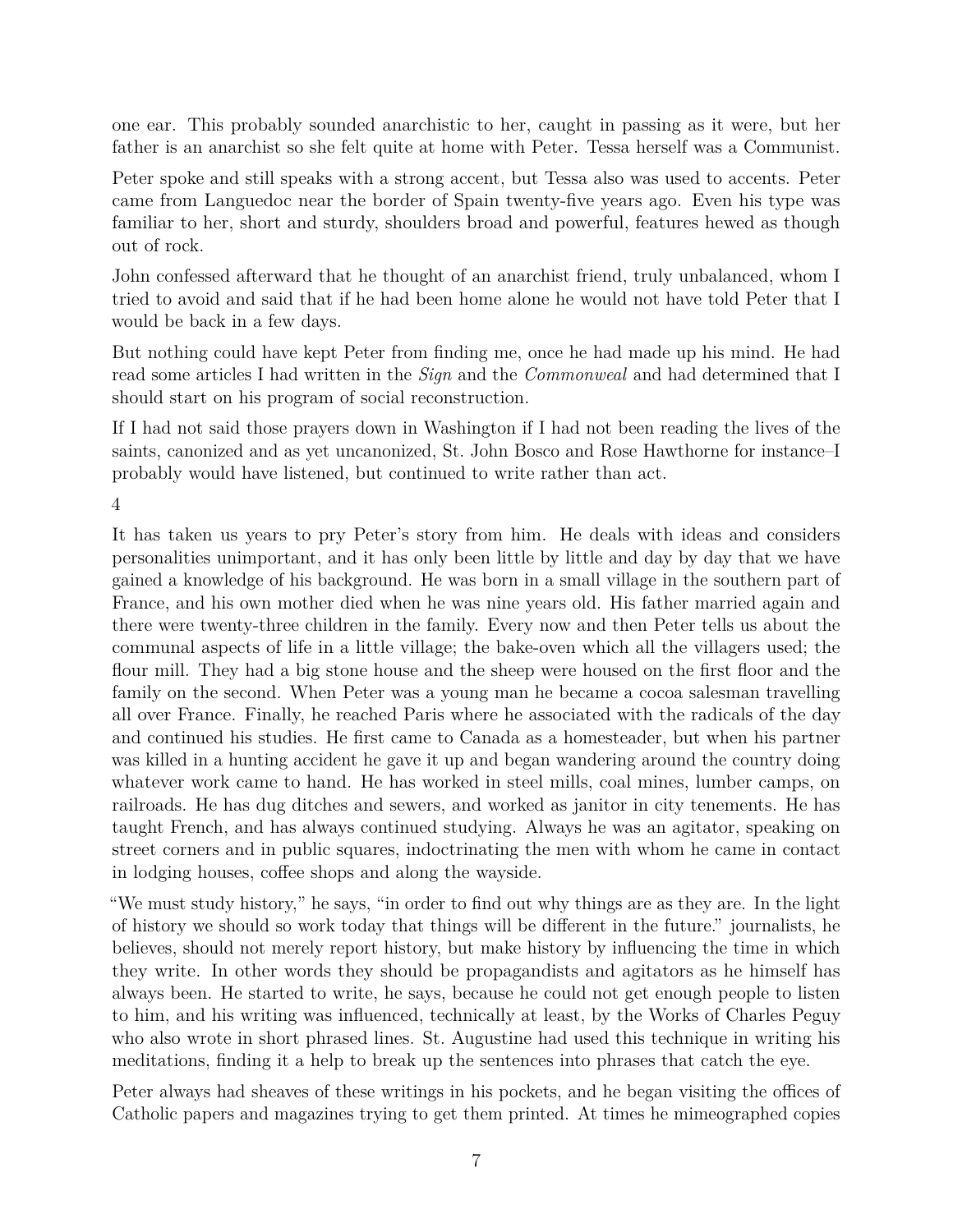one ear. This probably sounded anarchistic to her, caught in passing as it were, but her father is an anarchist so she felt quite at home with Peter. Tessa herself was a Communist.

Peter spoke and still speaks with a strong accent, but Tessa also was used to accents. Peter came from Languedoc near the border of Spain twenty-five years ago. Even his type was familiar to her, short and sturdy, shoulders broad and powerful, features hewed as though out of rock.

John confessed afterward that he thought of an anarchist friend, truly unbalanced, whom I tried to avoid and said that if he had been home alone he would not have told Peter that I would be back in a few days.

But nothing could have kept Peter from finding me, once he had made up his mind. He had read some articles I had written in the *Sign* and the *Commonweal* and had determined that I should start on his program of social reconstruction.

If I had not said those prayers down in Washington if I had not been reading the lives of the saints, canonized and as yet uncanonized, St. John Bosco and Rose Hawthorne for instance–I probably would have listened, but continued to write rather than act.

4

It has taken us years to pry Peter's story from him. He deals with ideas and considers personalities unimportant, and it has only been little by little and day by day that we have gained a knowledge of his background. He was born in a small village in the southern part of France, and his own mother died when he was nine years old. His father married again and there were twenty-three children in the family. Every now and then Peter tells us about the communal aspects of life in a little village; the bake-oven which all the villagers used; the flour mill. They had a big stone house and the sheep were housed on the first floor and the family on the second. When Peter was a young man he became a cocoa salesman travelling all over France. Finally, he reached Paris where he associated with the radicals of the day and continued his studies. He first came to Canada as a homesteader, but when his partner was killed in a hunting accident he gave it up and began wandering around the country doing whatever work came to hand. He has worked in steel mills, coal mines, lumber camps, on railroads. He has dug ditches and sewers, and worked as janitor in city tenements. He has taught French, and has always continued studying. Always he was an agitator, speaking on street corners and in public squares, indoctrinating the men with whom he came in contact in lodging houses, coffee shops and along the wayside.

"We must study history," he says, "in order to find out why things are as they are. In the light of history we should so work today that things will be different in the future." journalists, he believes, should not merely report history, but make history by influencing the time in which they write. In other words they should be propagandists and agitators as he himself has always been. He started to write, he says, because he could not get enough people to listen to him, and his writing was influenced, technically at least, by the Works of Charles Peguy who also wrote in short phrased lines. St. Augustine had used this technique in writing his meditations, finding it a help to break up the sentences into phrases that catch the eye.

Peter always had sheaves of these writings in his pockets, and he began visiting the offices of Catholic papers and magazines trying to get them printed. At times he mimeographed copies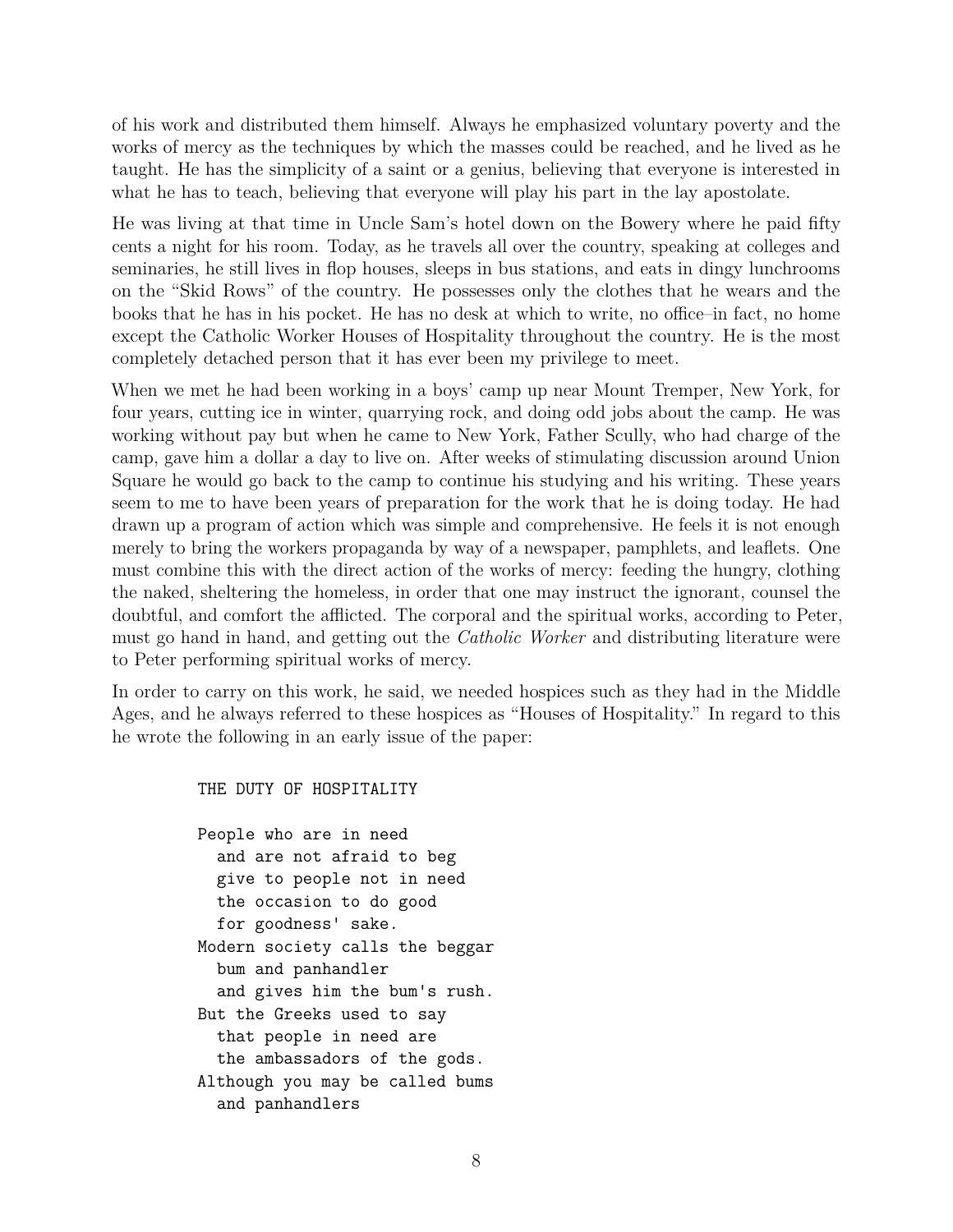of his work and distributed them himself. Always he emphasized voluntary poverty and the works of mercy as the techniques by which the masses could be reached, and he lived as he taught. He has the simplicity of a saint or a genius, believing that everyone is interested in what he has to teach, believing that everyone will play his part in the lay apostolate.

He was living at that time in Uncle Sam's hotel down on the Bowery where he paid fifty cents a night for his room. Today, as he travels all over the country, speaking at colleges and seminaries, he still lives in flop houses, sleeps in bus stations, and eats in dingy lunchrooms on the "Skid Rows" of the country. He possesses only the clothes that he wears and the books that he has in his pocket. He has no desk at which to write, no office–in fact, no home except the Catholic Worker Houses of Hospitality throughout the country. He is the most completely detached person that it has ever been my privilege to meet.

When we met he had been working in a boys' camp up near Mount Tremper, New York, for four years, cutting ice in winter, quarrying rock, and doing odd jobs about the camp. He was working without pay but when he came to New York, Father Scully, who had charge of the camp, gave him a dollar a day to live on. After weeks of stimulating discussion around Union Square he would go back to the camp to continue his studying and his writing. These years seem to me to have been years of preparation for the work that he is doing today. He had drawn up a program of action which was simple and comprehensive. He feels it is not enough merely to bring the workers propaganda by way of a newspaper, pamphlets, and leaflets. One must combine this with the direct action of the works of mercy: feeding the hungry, clothing the naked, sheltering the homeless, in order that one may instruct the ignorant, counsel the doubtful, and comfort the afflicted. The corporal and the spiritual works, according to Peter, must go hand in hand, and getting out the *Catholic Worker* and distributing literature were to Peter performing spiritual works of mercy.

In order to carry on this work, he said, we needed hospices such as they had in the Middle Ages, and he always referred to these hospices as "Houses of Hospitality." In regard to this he wrote the following in an early issue of the paper:

THE DUTY OF HOSPITALITY

People who are in need and are not afraid to beg give to people not in need the occasion to do good for goodness' sake. Modern society calls the beggar bum and panhandler and gives him the bum's rush. But the Greeks used to say that people in need are the ambassadors of the gods. Although you may be called bums and panhandlers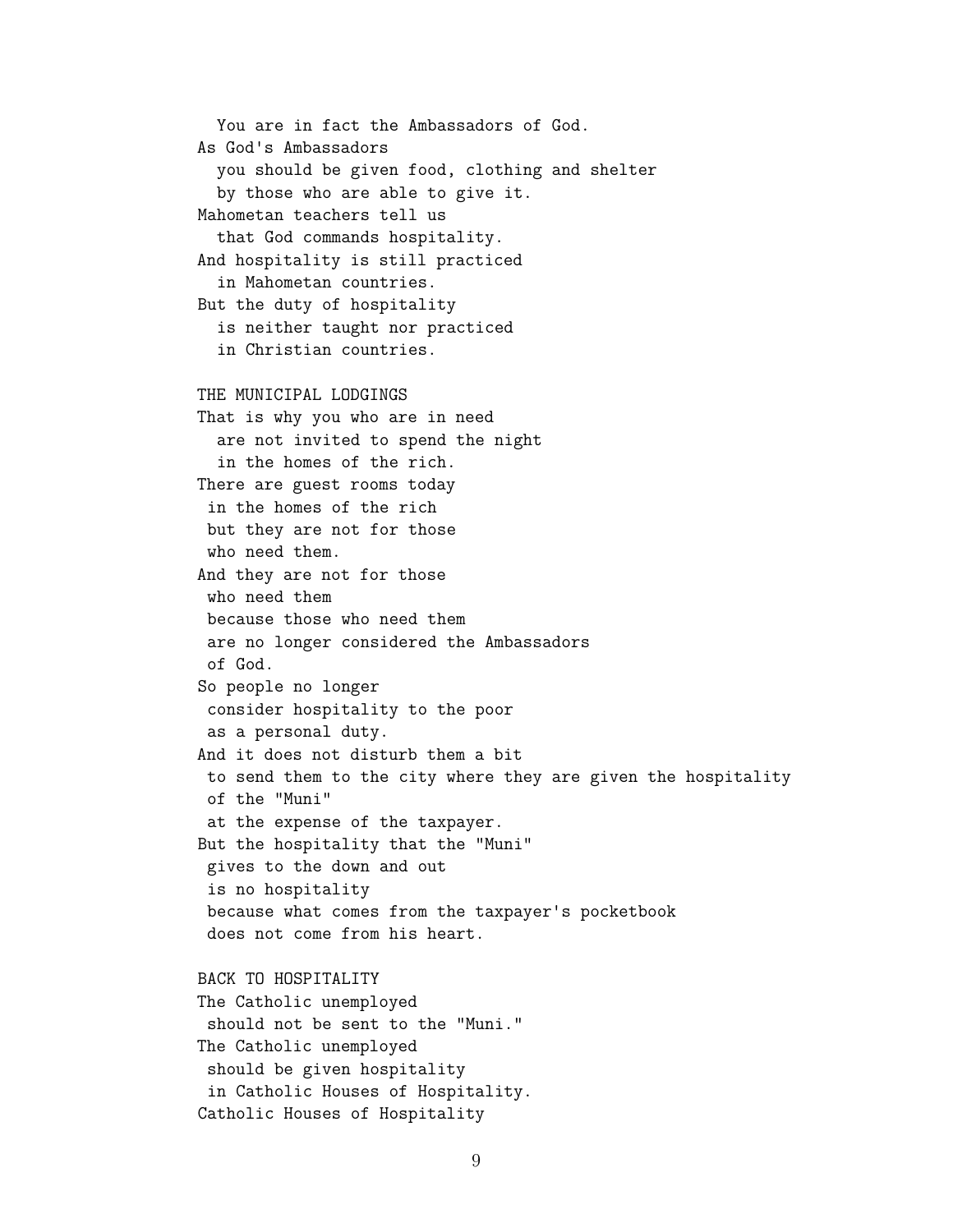You are in fact the Ambassadors of God. As God's Ambassadors you should be given food, clothing and shelter by those who are able to give it. Mahometan teachers tell us that God commands hospitality. And hospitality is still practiced in Mahometan countries. But the duty of hospitality is neither taught nor practiced in Christian countries. THE MUNICIPAL LODGINGS That is why you who are in need are not invited to spend the night in the homes of the rich. There are guest rooms today in the homes of the rich but they are not for those who need them. And they are not for those who need them because those who need them are no longer considered the Ambassadors of God. So people no longer consider hospitality to the poor as a personal duty. And it does not disturb them a bit to send them to the city where they are given the hospitality of the "Muni" at the expense of the taxpayer. But the hospitality that the "Muni" gives to the down and out is no hospitality because what comes from the taxpayer's pocketbook does not come from his heart. BACK TO HOSPITALITY The Catholic unemployed should not be sent to the "Muni." The Catholic unemployed should be given hospitality in Catholic Houses of Hospitality. Catholic Houses of Hospitality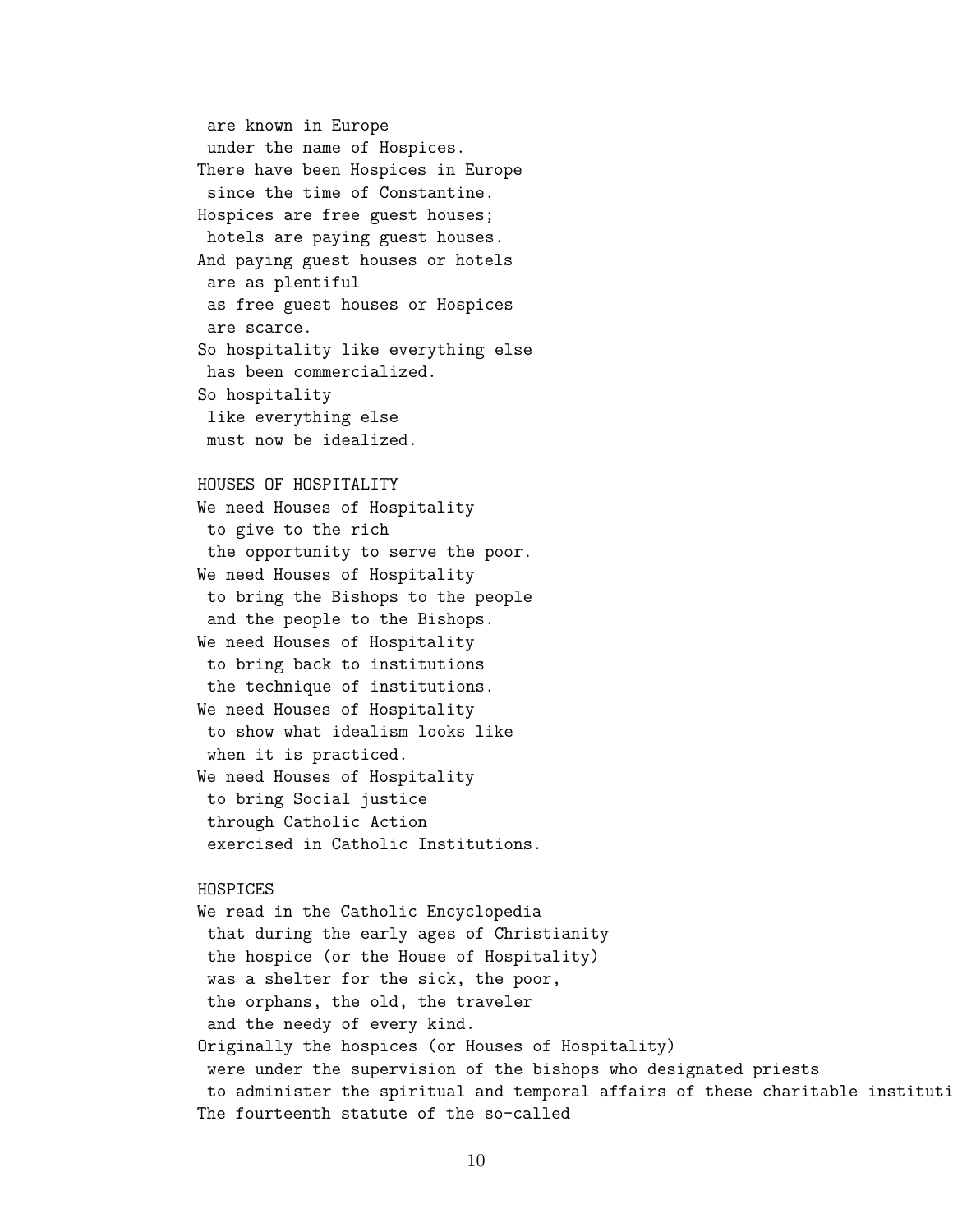are known in Europe under the name of Hospices. There have been Hospices in Europe since the time of Constantine. Hospices are free guest houses; hotels are paying guest houses. And paying guest houses or hotels are as plentiful as free guest houses or Hospices are scarce. So hospitality like everything else has been commercialized. So hospitality like everything else must now be idealized. HOUSES OF HOSPITALITY We need Houses of Hospitality

to give to the rich the opportunity to serve the poor. We need Houses of Hospitality to bring the Bishops to the people and the people to the Bishops. We need Houses of Hospitality to bring back to institutions the technique of institutions. We need Houses of Hospitality to show what idealism looks like when it is practiced. We need Houses of Hospitality to bring Social justice through Catholic Action exercised in Catholic Institutions.

#### HOSPICES

We read in the Catholic Encyclopedia that during the early ages of Christianity the hospice (or the House of Hospitality) was a shelter for the sick, the poor, the orphans, the old, the traveler and the needy of every kind. Originally the hospices (or Houses of Hospitality) were under the supervision of the bishops who designated priests to administer the spiritual and temporal affairs of these charitable instituti The fourteenth statute of the so-called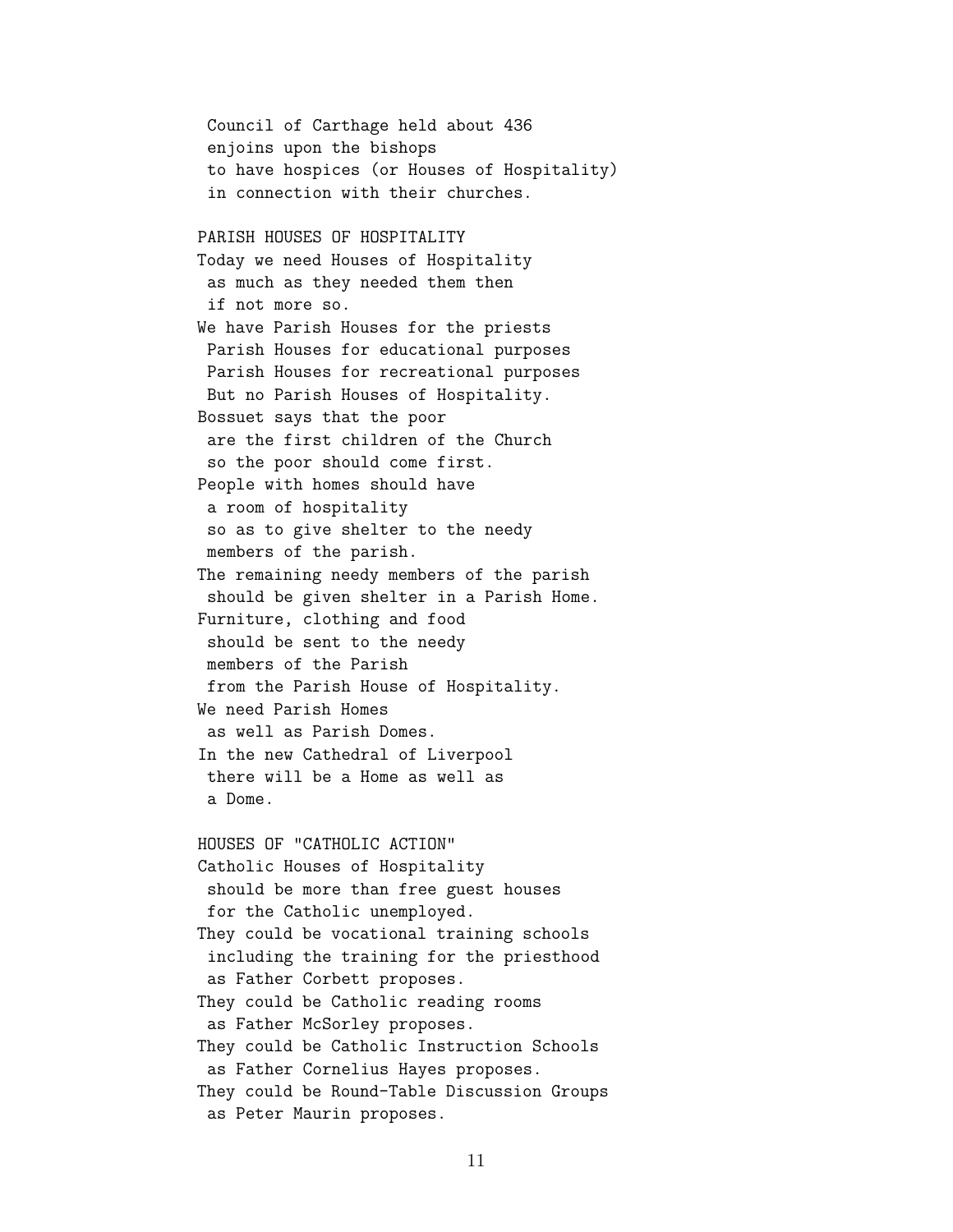Council of Carthage held about 436 enjoins upon the bishops to have hospices (or Houses of Hospitality) in connection with their churches. PARISH HOUSES OF HOSPITALITY Today we need Houses of Hospitality as much as they needed them then if not more so. We have Parish Houses for the priests Parish Houses for educational purposes Parish Houses for recreational purposes But no Parish Houses of Hospitality. Bossuet says that the poor are the first children of the Church so the poor should come first. People with homes should have a room of hospitality so as to give shelter to the needy members of the parish. The remaining needy members of the parish should be given shelter in a Parish Home. Furniture, clothing and food should be sent to the needy members of the Parish from the Parish House of Hospitality. We need Parish Homes as well as Parish Domes. In the new Cathedral of Liverpool there will be a Home as well as a Dome. HOUSES OF "CATHOLIC ACTION" Catholic Houses of Hospitality should be more than free guest houses for the Catholic unemployed. They could be vocational training schools including the training for the priesthood as Father Corbett proposes. They could be Catholic reading rooms as Father McSorley proposes. They could be Catholic Instruction Schools as Father Cornelius Hayes proposes. They could be Round-Table Discussion Groups as Peter Maurin proposes.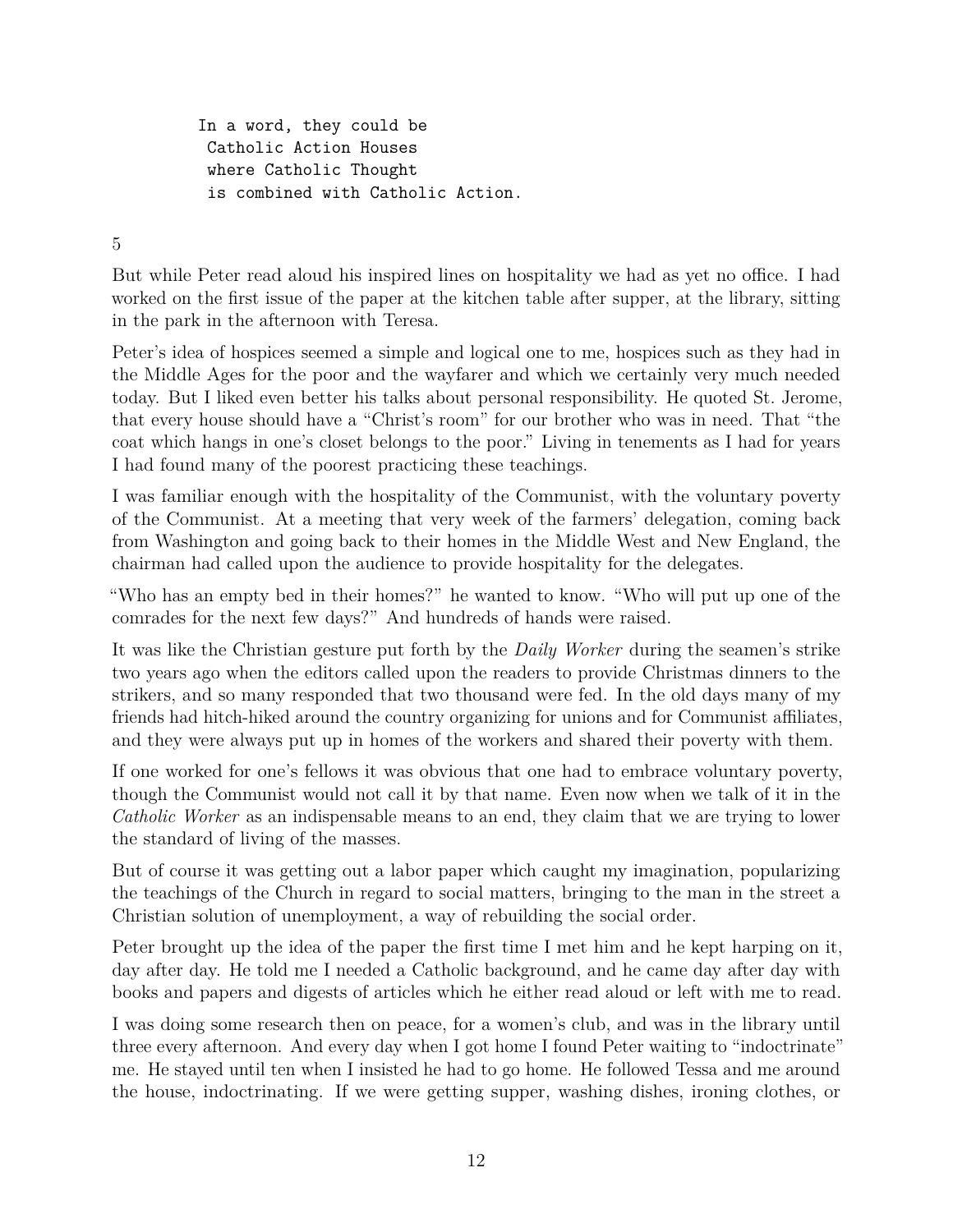```
In a word, they could be
Catholic Action Houses
where Catholic Thought
is combined with Catholic Action.
```
5

But while Peter read aloud his inspired lines on hospitality we had as yet no office. I had worked on the first issue of the paper at the kitchen table after supper, at the library, sitting in the park in the afternoon with Teresa.

Peter's idea of hospices seemed a simple and logical one to me, hospices such as they had in the Middle Ages for the poor and the wayfarer and which we certainly very much needed today. But I liked even better his talks about personal responsibility. He quoted St. Jerome, that every house should have a "Christ's room" for our brother who was in need. That "the coat which hangs in one's closet belongs to the poor." Living in tenements as I had for years I had found many of the poorest practicing these teachings.

I was familiar enough with the hospitality of the Communist, with the voluntary poverty of the Communist. At a meeting that very week of the farmers' delegation, coming back from Washington and going back to their homes in the Middle West and New England, the chairman had called upon the audience to provide hospitality for the delegates.

"Who has an empty bed in their homes?" he wanted to know. "Who will put up one of the comrades for the next few days?" And hundreds of hands were raised.

It was like the Christian gesture put forth by the *Daily Worker* during the seamen's strike two years ago when the editors called upon the readers to provide Christmas dinners to the strikers, and so many responded that two thousand were fed. In the old days many of my friends had hitch-hiked around the country organizing for unions and for Communist affiliates, and they were always put up in homes of the workers and shared their poverty with them.

If one worked for one's fellows it was obvious that one had to embrace voluntary poverty, though the Communist would not call it by that name. Even now when we talk of it in the *Catholic Worker* as an indispensable means to an end, they claim that we are trying to lower the standard of living of the masses.

But of course it was getting out a labor paper which caught my imagination, popularizing the teachings of the Church in regard to social matters, bringing to the man in the street a Christian solution of unemployment, a way of rebuilding the social order.

Peter brought up the idea of the paper the first time I met him and he kept harping on it, day after day. He told me I needed a Catholic background, and he came day after day with books and papers and digests of articles which he either read aloud or left with me to read.

I was doing some research then on peace, for a women's club, and was in the library until three every afternoon. And every day when I got home I found Peter waiting to "indoctrinate" me. He stayed until ten when I insisted he had to go home. He followed Tessa and me around the house, indoctrinating. If we were getting supper, washing dishes, ironing clothes, or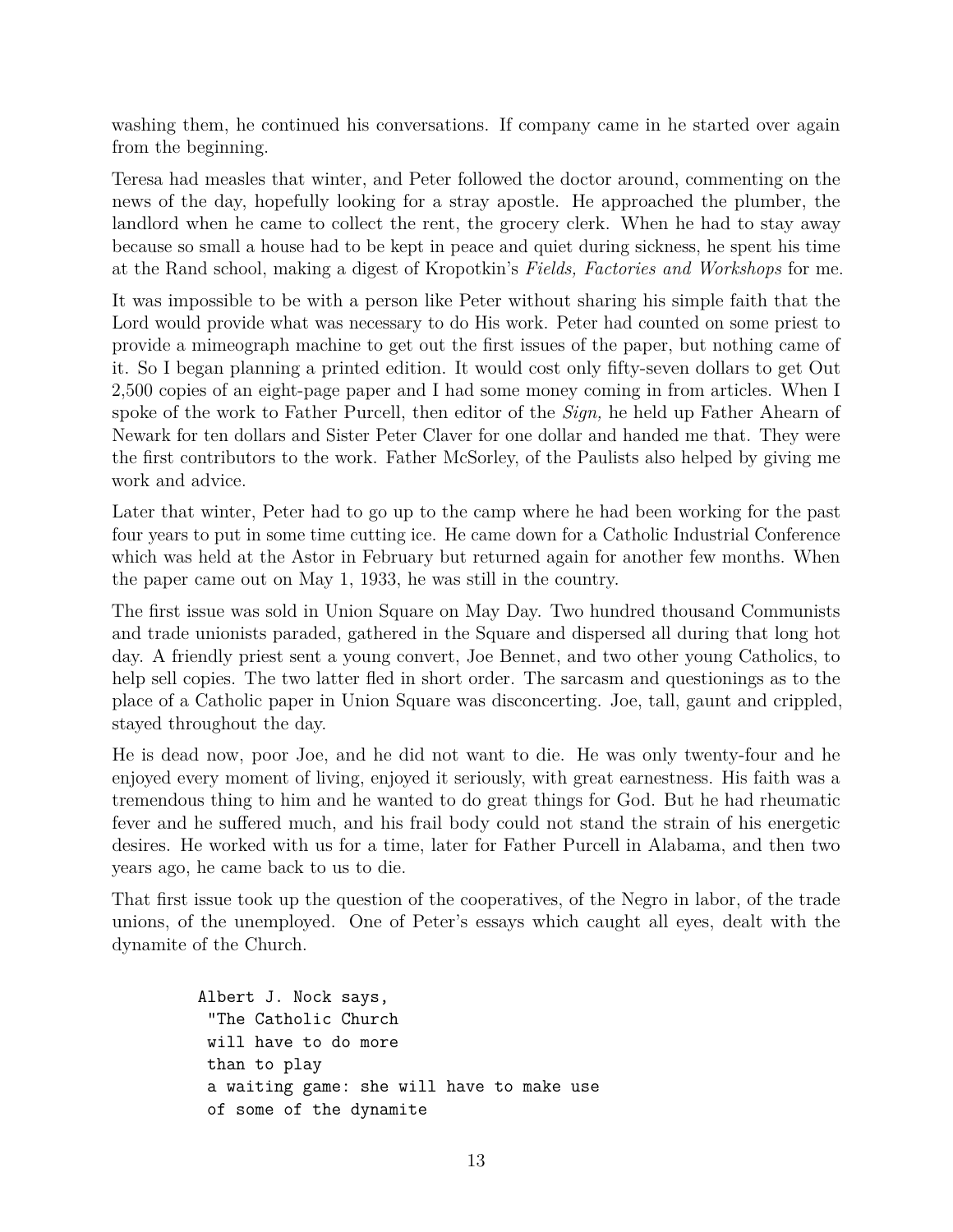washing them, he continued his conversations. If company came in he started over again from the beginning.

Teresa had measles that winter, and Peter followed the doctor around, commenting on the news of the day, hopefully looking for a stray apostle. He approached the plumber, the landlord when he came to collect the rent, the grocery clerk. When he had to stay away because so small a house had to be kept in peace and quiet during sickness, he spent his time at the Rand school, making a digest of Kropotkin's *Fields, Factories and Workshops* for me.

It was impossible to be with a person like Peter without sharing his simple faith that the Lord would provide what was necessary to do His work. Peter had counted on some priest to provide a mimeograph machine to get out the first issues of the paper, but nothing came of it. So I began planning a printed edition. It would cost only fifty-seven dollars to get Out 2,500 copies of an eight-page paper and I had some money coming in from articles. When I spoke of the work to Father Purcell, then editor of the *Sign,* he held up Father Ahearn of Newark for ten dollars and Sister Peter Claver for one dollar and handed me that. They were the first contributors to the work. Father McSorley, of the Paulists also helped by giving me work and advice.

Later that winter, Peter had to go up to the camp where he had been working for the past four years to put in some time cutting ice. He came down for a Catholic Industrial Conference which was held at the Astor in February but returned again for another few months. When the paper came out on May 1, 1933, he was still in the country.

The first issue was sold in Union Square on May Day. Two hundred thousand Communists and trade unionists paraded, gathered in the Square and dispersed all during that long hot day. A friendly priest sent a young convert, Joe Bennet, and two other young Catholics, to help sell copies. The two latter fled in short order. The sarcasm and questionings as to the place of a Catholic paper in Union Square was disconcerting. Joe, tall, gaunt and crippled, stayed throughout the day.

He is dead now, poor Joe, and he did not want to die. He was only twenty-four and he enjoyed every moment of living, enjoyed it seriously, with great earnestness. His faith was a tremendous thing to him and he wanted to do great things for God. But he had rheumatic fever and he suffered much, and his frail body could not stand the strain of his energetic desires. He worked with us for a time, later for Father Purcell in Alabama, and then two years ago, he came back to us to die.

That first issue took up the question of the cooperatives, of the Negro in labor, of the trade unions, of the unemployed. One of Peter's essays which caught all eyes, dealt with the dynamite of the Church.

> Albert J. Nock says, "The Catholic Church will have to do more than to play a waiting game: she will have to make use of some of the dynamite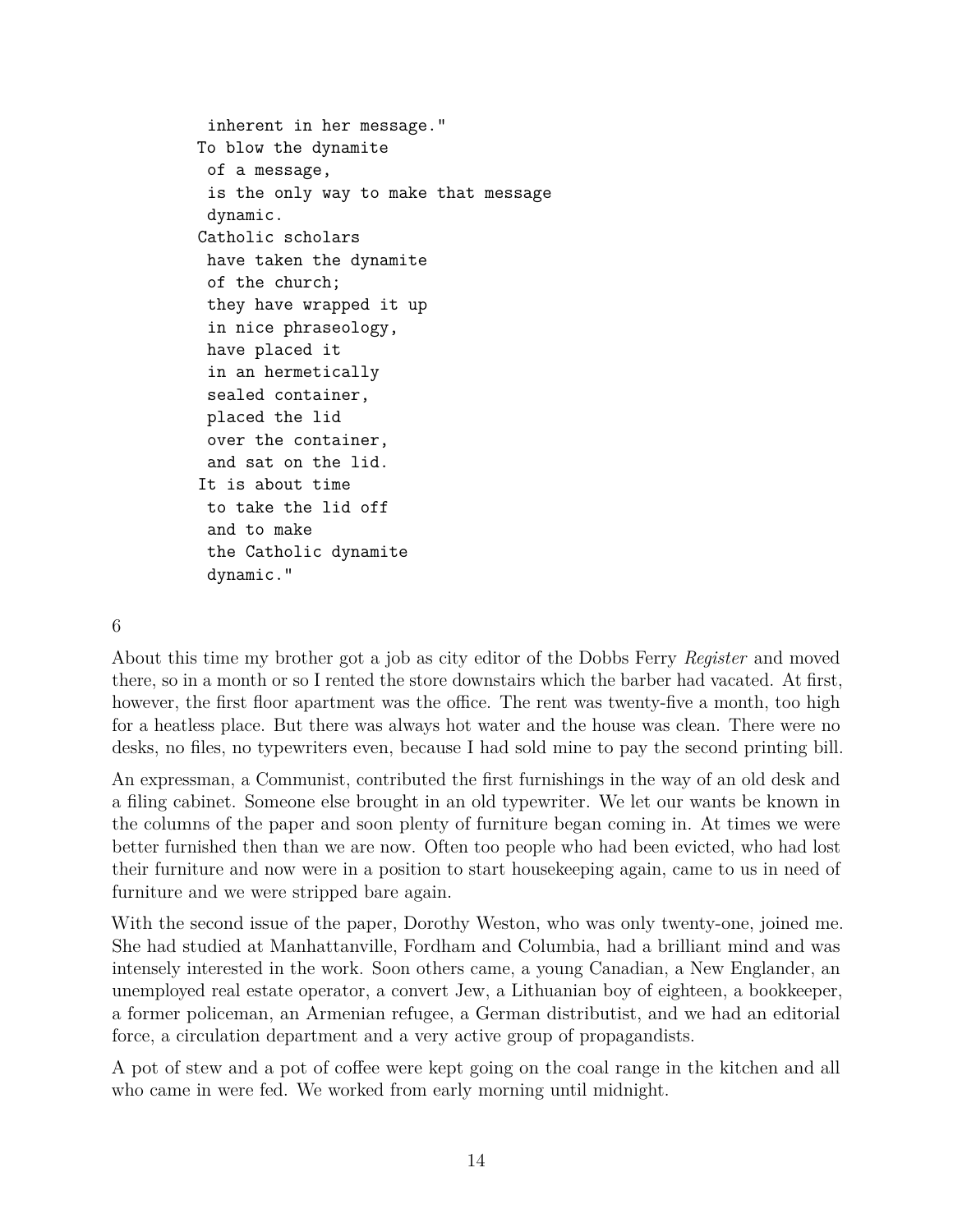inherent in her message." To blow the dynamite of a message, is the only way to make that message dynamic. Catholic scholars have taken the dynamite of the church; they have wrapped it up in nice phraseology, have placed it in an hermetically sealed container, placed the lid over the container, and sat on the lid. It is about time to take the lid off and to make the Catholic dynamite dynamic."

### 6

About this time my brother got a job as city editor of the Dobbs Ferry *Register* and moved there, so in a month or so I rented the store downstairs which the barber had vacated. At first, however, the first floor apartment was the office. The rent was twenty-five a month, too high for a heatless place. But there was always hot water and the house was clean. There were no desks, no files, no typewriters even, because I had sold mine to pay the second printing bill.

An expressman, a Communist, contributed the first furnishings in the way of an old desk and a filing cabinet. Someone else brought in an old typewriter. We let our wants be known in the columns of the paper and soon plenty of furniture began coming in. At times we were better furnished then than we are now. Often too people who had been evicted, who had lost their furniture and now were in a position to start housekeeping again, came to us in need of furniture and we were stripped bare again.

With the second issue of the paper, Dorothy Weston, who was only twenty-one, joined me. She had studied at Manhattanville, Fordham and Columbia, had a brilliant mind and was intensely interested in the work. Soon others came, a young Canadian, a New Englander, an unemployed real estate operator, a convert Jew, a Lithuanian boy of eighteen, a bookkeeper, a former policeman, an Armenian refugee, a German distributist, and we had an editorial force, a circulation department and a very active group of propagandists.

A pot of stew and a pot of coffee were kept going on the coal range in the kitchen and all who came in were fed. We worked from early morning until midnight.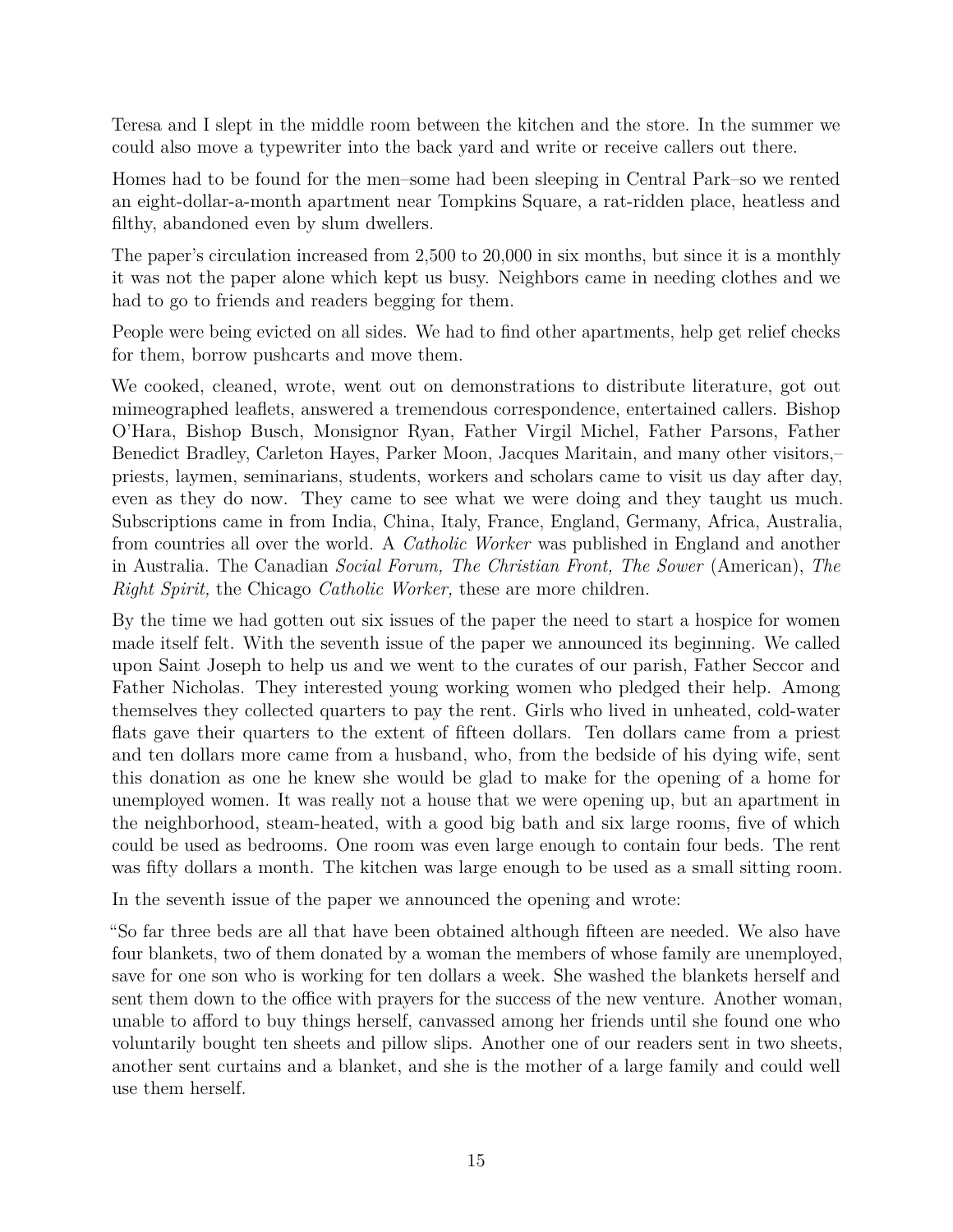Teresa and I slept in the middle room between the kitchen and the store. In the summer we could also move a typewriter into the back yard and write or receive callers out there.

Homes had to be found for the men–some had been sleeping in Central Park–so we rented an eight-dollar-a-month apartment near Tompkins Square, a rat-ridden place, heatless and filthy, abandoned even by slum dwellers.

The paper's circulation increased from 2,500 to 20,000 in six months, but since it is a monthly it was not the paper alone which kept us busy. Neighbors came in needing clothes and we had to go to friends and readers begging for them.

People were being evicted on all sides. We had to find other apartments, help get relief checks for them, borrow pushcarts and move them.

We cooked, cleaned, wrote, went out on demonstrations to distribute literature, got out mimeographed leaflets, answered a tremendous correspondence, entertained callers. Bishop O'Hara, Bishop Busch, Monsignor Ryan, Father Virgil Michel, Father Parsons, Father Benedict Bradley, Carleton Hayes, Parker Moon, Jacques Maritain, and many other visitors,– priests, laymen, seminarians, students, workers and scholars came to visit us day after day, even as they do now. They came to see what we were doing and they taught us much. Subscriptions came in from India, China, Italy, France, England, Germany, Africa, Australia, from countries all over the world. A *Catholic Worker* was published in England and another in Australia. The Canadian *Social Forum, The Christian Front, The Sower* (American), *The Right Spirit,* the Chicago *Catholic Worker,* these are more children.

By the time we had gotten out six issues of the paper the need to start a hospice for women made itself felt. With the seventh issue of the paper we announced its beginning. We called upon Saint Joseph to help us and we went to the curates of our parish, Father Seccor and Father Nicholas. They interested young working women who pledged their help. Among themselves they collected quarters to pay the rent. Girls who lived in unheated, cold-water flats gave their quarters to the extent of fifteen dollars. Ten dollars came from a priest and ten dollars more came from a husband, who, from the bedside of his dying wife, sent this donation as one he knew she would be glad to make for the opening of a home for unemployed women. It was really not a house that we were opening up, but an apartment in the neighborhood, steam-heated, with a good big bath and six large rooms, five of which could be used as bedrooms. One room was even large enough to contain four beds. The rent was fifty dollars a month. The kitchen was large enough to be used as a small sitting room.

In the seventh issue of the paper we announced the opening and wrote:

"So far three beds are all that have been obtained although fifteen are needed. We also have four blankets, two of them donated by a woman the members of whose family are unemployed, save for one son who is working for ten dollars a week. She washed the blankets herself and sent them down to the office with prayers for the success of the new venture. Another woman, unable to afford to buy things herself, canvassed among her friends until she found one who voluntarily bought ten sheets and pillow slips. Another one of our readers sent in two sheets, another sent curtains and a blanket, and she is the mother of a large family and could well use them herself.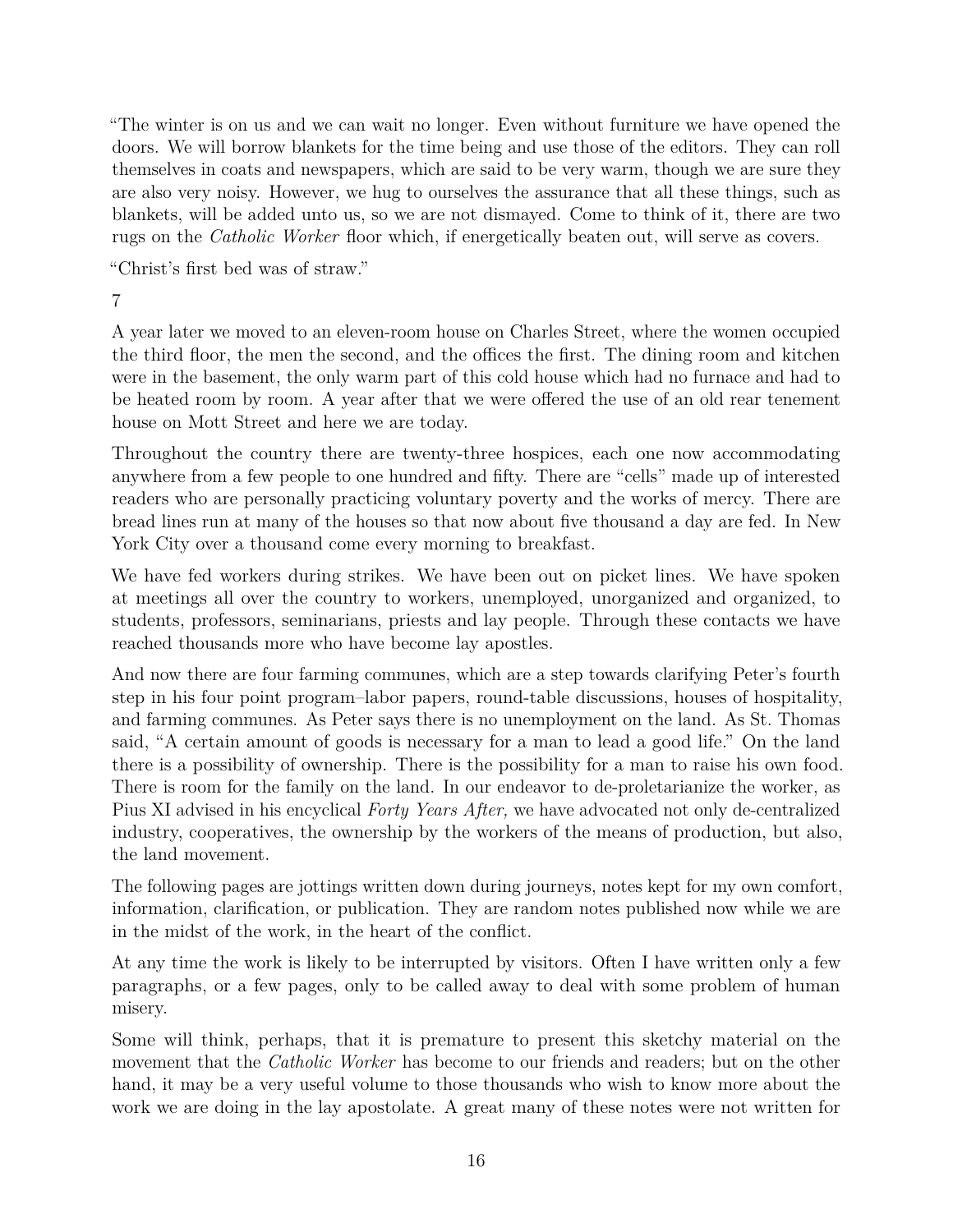"The winter is on us and we can wait no longer. Even without furniture we have opened the doors. We will borrow blankets for the time being and use those of the editors. They can roll themselves in coats and newspapers, which are said to be very warm, though we are sure they are also very noisy. However, we hug to ourselves the assurance that all these things, such as blankets, will be added unto us, so we are not dismayed. Come to think of it, there are two rugs on the *Catholic Worker* floor which, if energetically beaten out, will serve as covers.

"Christ's first bed was of straw."

7

A year later we moved to an eleven-room house on Charles Street, where the women occupied the third floor, the men the second, and the offices the first. The dining room and kitchen were in the basement, the only warm part of this cold house which had no furnace and had to be heated room by room. A year after that we were offered the use of an old rear tenement house on Mott Street and here we are today.

Throughout the country there are twenty-three hospices, each one now accommodating anywhere from a few people to one hundred and fifty. There are "cells" made up of interested readers who are personally practicing voluntary poverty and the works of mercy. There are bread lines run at many of the houses so that now about five thousand a day are fed. In New York City over a thousand come every morning to breakfast.

We have fed workers during strikes. We have been out on picket lines. We have spoken at meetings all over the country to workers, unemployed, unorganized and organized, to students, professors, seminarians, priests and lay people. Through these contacts we have reached thousands more who have become lay apostles.

And now there are four farming communes, which are a step towards clarifying Peter's fourth step in his four point program–labor papers, round-table discussions, houses of hospitality, and farming communes. As Peter says there is no unemployment on the land. As St. Thomas said, "A certain amount of goods is necessary for a man to lead a good life." On the land there is a possibility of ownership. There is the possibility for a man to raise his own food. There is room for the family on the land. In our endeavor to de-proletarianize the worker, as Pius XI advised in his encyclical *Forty Years After,* we have advocated not only de-centralized industry, cooperatives, the ownership by the workers of the means of production, but also, the land movement.

The following pages are jottings written down during journeys, notes kept for my own comfort, information, clarification, or publication. They are random notes published now while we are in the midst of the work, in the heart of the conflict.

At any time the work is likely to be interrupted by visitors. Often I have written only a few paragraphs, or a few pages, only to be called away to deal with some problem of human misery.

Some will think, perhaps, that it is premature to present this sketchy material on the movement that the *Catholic Worker* has become to our friends and readers; but on the other hand, it may be a very useful volume to those thousands who wish to know more about the work we are doing in the lay apostolate. A great many of these notes were not written for